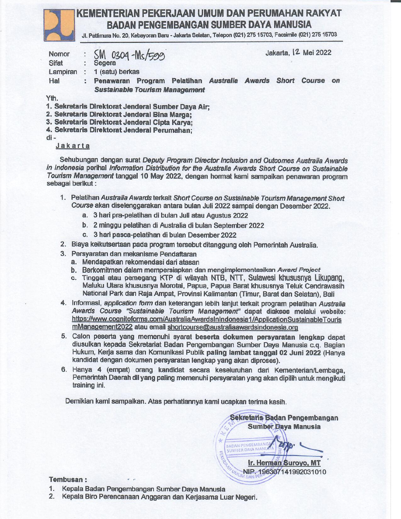### KEMENTERIAN PEKERJAAN UMUM DAN PERUMAHAN RAKYAT **BADAN PENGEMBANGAN SUMBER DAYA MANUSIA**

Ji. Pattimura No. 20, Kebayoran Baru - Jakarta Selatan, Telepon (021) 275 15703, Facsimile (021) 275 15703

| Nomor        | : SM 0304-Ms/599                                   | Jakarta, <sup>2</sup> Mei 2022 |                                          |  |  |  |               |    |
|--------------|----------------------------------------------------|--------------------------------|------------------------------------------|--|--|--|---------------|----|
| <b>Sifat</b> | : Segera                                           |                                |                                          |  |  |  |               |    |
| Lampiran     | 1 (satu) berkas                                    |                                |                                          |  |  |  |               |    |
| Hal          | : Penawaran                                        |                                | Program Pelatihan Australia Awards Short |  |  |  | <b>Course</b> | on |
|              | <b>Sustainable Tourism Management</b>              |                                |                                          |  |  |  |               |    |
| Yth.         | I. Sekretaris Direktorat Jenderal Sumber Dava Air- |                                |                                          |  |  |  |               |    |

2. Sekretaris Direktorat Jenderal Bina Marga:

3. Sekretaris Direktorat Jenderal Cipta Karva:

4. Sekretaris Direktorat Jenderal Perumahan:

 $di -$ 

Jakarta

Sehubungan dengan surat Deputy Program Director Inclusion and Outcomes Australia Awards in Indonesia perihal Information Distribution for the Australia Awards Short Course on Sustainable Tourism Management tanggal 10 May 2022, dengan hormat kami sampaikan penawaran program sebagai berikut:

- 1. Pelatihan Australia Awards terkait Short Course on Sustainable Tourism Management Short Course akan diselenggarakan antara bulan Juli 2022 sampai dengan Desember 2022.
	- a. 3 hari pra-pelatihan di bulan Juli atau Agustus 2022
	- b. 2 minggu pelatihan di Australia di bulan September 2022
	- c. 3 hari pasca-pelatihan di bulan Desember 2022
- 2. Biaya keikutsertaan pada program tersebut ditanggung oleh Pemerintah Australia.
- 3. Persyaratan dan mekanisme Pendaftaran
	- a. Mendapatkan rekomendasi dari atasan
	- b. Berkomitmen dalam mempersiapkan dan mengimplementasikan Award Project
	- c. Tinggal atau pemegang KTP di wilayah NTB, NTT, Sulawesi khususnya Likupang, Maluku Utara khususnya Morotai, Papua, Papua Barat khususnya Teluk Cendrawasih National Park dan Raja Ampat, Provinsi Kalimantan (Timur, Barat dan Selatan), Bali
- 4. Informasi, application form dan keterangan lebih lanjut terkait program pelatihan Australia Awards Course "Sustainable Tourism Management" dapat diakses melalui website: https://www.cognitoforms.com/AustraliaAwardsInIndonesia1/ApplicationSustainableTouris mManagement2022 atau email shortcourse@australiaawardsindonesia.org
- 5. Calon peserta yang memenuhi syarat beserta dokumen persyaratan lengkap dapat diusulkan kepada Sekretariat Badan Pengembangan Sumber Daya Manusia c.q. Bagian Hukum, Kerja sama dan Komunikasi Publik paling lambat tanggal 02 Juni 2022 (Hanya kandidat dengan dokumen persyaratan lengkap yang akan diproses).
- 6. Hanya 4 (empat) orang kandidat secara keseluruhan dari Kementerian/Lembaga, Pemerintah Daerah dll yang paling memenuhi persyaratan yang akan dipilih untuk mengikuti training ini.

Demikian kami sampaikan. Atas perhatiannya kami ucapkan terima kasih.

BADAN PENGEMBANG<br>SUMBER DAYA MANU Ir. Herman Suroyo, MT NIP. 196307141992031010

Sekretaris Badan Pengembangan **Sumber Daya Manusia** 

#### Tembusan:

- 1. Kepala Badan Pengembangan Sumber Daya Manusia
- 2. Kepala Biro Perencanaan Anggaran dan Kerjasama Luar Negeri.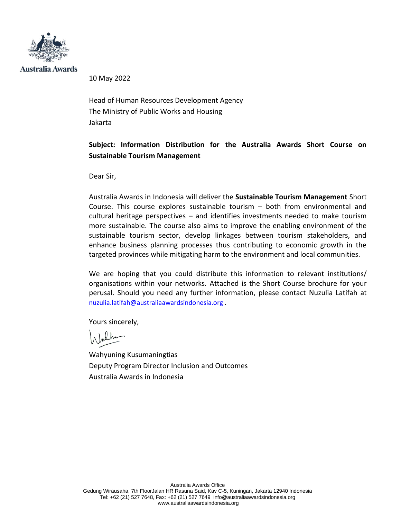

Australia Awards

10 May 2022

Head of Human Resources Development Agency The Ministry of Public Works and Housing Jakarta

### **Subject: Information Distribution for the Australia Awards Short Course on Sustainable Tourism Management**

Dear Sir,

Australia Awards in Indonesia will deliver the **Sustainable Tourism Management** Short Course. This course explores sustainable tourism – both from environmental and cultural heritage perspectives – and identifies investments needed to make tourism more sustainable. The course also aims to improve the enabling environment of the sustainable tourism sector, develop linkages between tourism stakeholders, and enhance business planning processes thus contributing to economic growth in the targeted provinces while mitigating harm to the environment and local communities.

We are hoping that you could distribute this information to relevant institutions/ organisations within your networks. Attached is the Short Course brochure for your perusal. Should you need any further information, please contact Nuzulia Latifah at [nuzulia.latifah@australiaawardsindonesia.org](mailto:nuzulia.latifah@australiaawardsindonesia.org) .

Yours sincerely,

Wahyuning Kusumaningtias Deputy Program Director Inclusion and Outcomes Australia Awards in Indonesia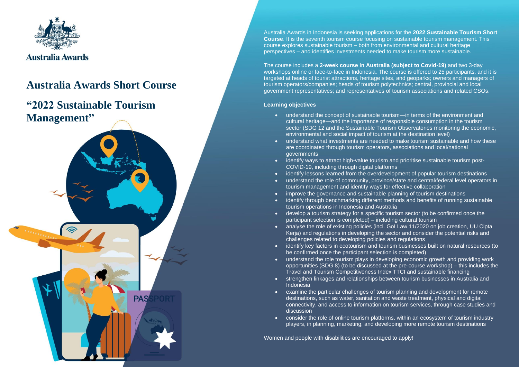

## **Australia Awards Short Course**

**PAS** 

## **"2022 Sustainable Tourism Management"**

Australia Awards in Indonesia is seeking applications for the **2022 Sustainable Tourism Short Course**. It is the seventh tourism course focusing on sustainable tourism management. This course explores sustainable tourism – both from environmental and cultural heritage perspectives – and identifies investments needed to make tourism more sustainable.

The course includes a **2-week course in Australia (subject to Covid-19)** and two 3-day workshops online or face-to-face in Indonesia. The course is offered to 25 participants, and it is targeted at heads of tourist attractions, heritage sites, and geoparks; owners and managers of tourism operators/companies; heads of tourism polytechnics; central, provincial and local government representatives; and representatives of tourism associations and related CSOs.

#### **Learning objectives**

- understand the concept of sustainable tourism—in terms of the environment and cultural heritage—and the importance of responsible consumption in the tourism sector (SDG 12 and the Sustainable Tourism Observatories monitoring the economic, environmental and social impact of tourism at the destination level)
- understand what investments are needed to make tourism sustainable and how these are coordinated through tourism operators, associations and local/national governments
- identify ways to attract high-value tourism and prioritise sustainable tourism post-COVID-19, including through digital platforms
- identify lessons learned from the overdevelopment of popular tourism destinations
- understand the role of community, province/state and central/federal level operators in tourism management and identify ways for effective collaboration
- improve the governance and sustainable planning of tourism destinations
- identify through benchmarking different methods and benefits of running sustainable tourism operations in Indonesia and Australia
- develop a tourism strategy for a specific tourism sector (to be confirmed once the participant selection is completed) – including cultural tourism
- analyse the role of existing policies (incl. GoI Law 11/2020 on job creation, UU Cipta Kerja) and regulations in developing the sector and consider the potential risks and challenges related to developing policies and regulations
- identify key factors in ecotourism and tourism businesses built on natural resources (to be confirmed once the participant selection is completed)
- understand the role tourism plays in developing economic growth and providing work opportunities (SDG 8) (to be discussed at the pre-course workshop) – this includes the Travel and Tourism Competitiveness Index TTCI and sustainable financing
- strengthen linkages and relationships between tourism businesses in Australia and Indonesia
- examine the particular challenges of tourism planning and development for remote destinations, such as water, sanitation and waste treatment, physical and digital connectivity, and access to information on tourism services, through case studies and discussion
- consider the role of online tourism platforms, within an ecosystem of tourism industry players, in planning, marketing, and developing more remote tourism destinations

Women and people with disabilities are encouraged to apply!